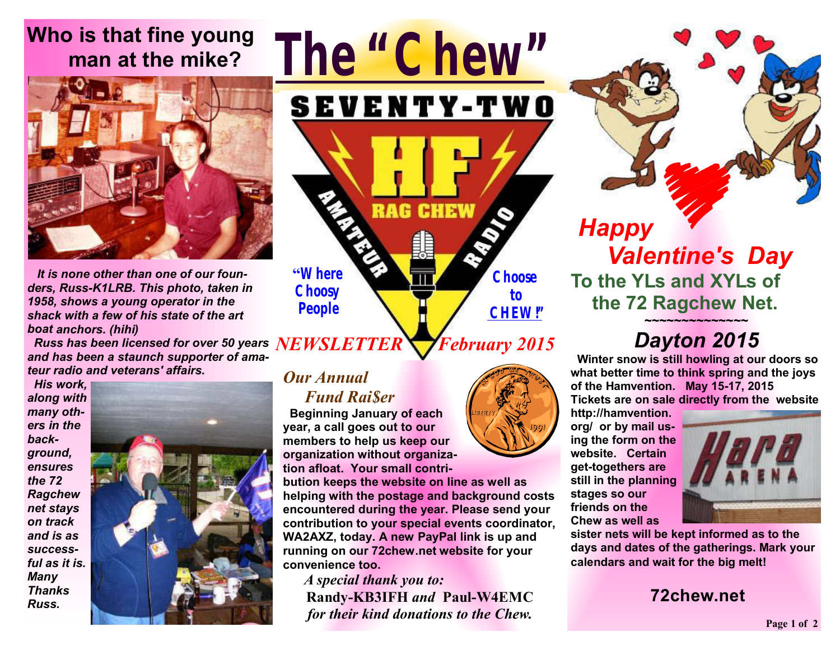# **Who is that fine young man at the mike?**



 *It is none other than one of our founders, Russ-K1LRB. This photo, taken in 1958, shows a young operator in the shack with a few of his state of the art boat anchors. (hihi)* 

 *Russ has been licensed for over 50 years NEWSLETTER and has been a staunch supporter of amateur radio and veterans' affairs.* 

 *His work, along with many others in the background, ensures the 72 Ragchew net stays on track and is as successful as it is. Many Thanks Russ.*



## *Our Annual*

**"Where Choosy People** 

#### *Fund Rai\$er*

 **Beginning January of each year, a call goes out to our members to help us keep our organization without organization afloat. Your small contri-**

**bution keeps the website on line as well as helping with the postage and background costs encountered during the year. Please send your contribution to your special events coordinator, WA2AXZ, today. A new PayPal link is up and running on our 72chew.net website for your convenience too.** 

*The "Chew"*

**SEVENTY-TWO** 

**RAG CHEW** 

 *A special thank you to:*  **Randy-KB3IFH** *and* **Paul-W4EMC** *for their kind donations to the Chew.* 

# *February 2015*

**Choose to CHEW!"**

*Happy Valentine's Day*  **To the YLs and XYLs of the 72 Ragchew Net.** 

#### **~~~~~~~~~~~~~~**  *Dayton 2015*

 **Winter snow is still howling at our doors so what better time to think spring and the joys of the Hamvention. May 15-17, 2015 Tickets are on sale directly from the website** 

**http://hamvention. org/ or by mail using the form on the website. Certain get-togethers are still in the planning stages so our friends on the Chew as well as** 



**sister nets will be kept informed as to the days and dates of the gatherings. Mark your calendars and wait for the big melt!**

#### **72chew.net**